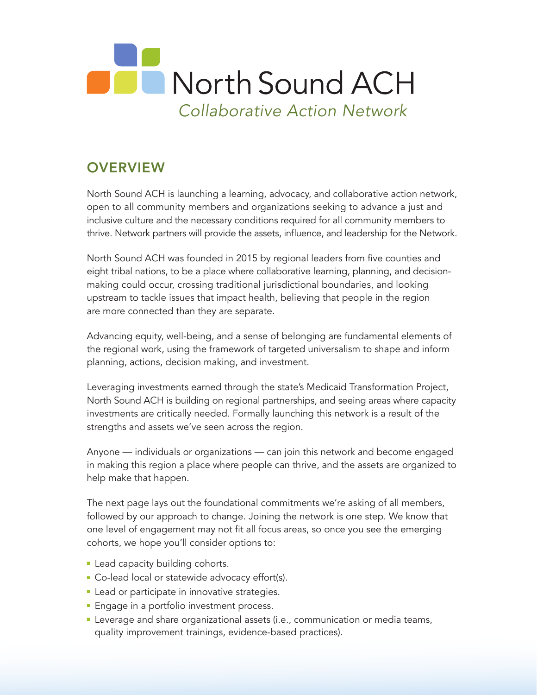

## **OVERVIEW**

North Sound ACH is launching a learning, advocacy, and collaborative action network, open to all community members and organizations seeking to advance a just and inclusive culture and the necessary conditions required for all community members to thrive. Network partners will provide the assets, influence, and leadership for the Network.

North Sound ACH was founded in 2015 by regional leaders from five counties and eight tribal nations, to be a place where collaborative learning, planning, and decisionmaking could occur, crossing traditional jurisdictional boundaries, and looking upstream to tackle issues that impact health, believing that people in the region are more connected than they are separate.

Advancing equity, well-being, and a sense of belonging are fundamental elements of the regional work, using the framework of targeted universalism to shape and inform planning, actions, decision making, and investment.

Leveraging investments earned through the state's Medicaid Transformation Project, North Sound ACH is building on regional partnerships, and seeing areas where capacity investments are critically needed. Formally launching this network is a result of the strengths and assets we've seen across the region.

Anyone — individuals or organizations — can join this network and become engaged in making this region a place where people can thrive, and the assets are organized to help make that happen.

The next page lays out the foundational commitments we're asking of all members, followed by our approach to change. Joining the network is one step. We know that one level of engagement may not fit all focus areas, so once you see the emerging cohorts, we hope you'll consider options to:

- **Example 2** Lead capacity building cohorts.
- Co-lead local or statewide advocacy effort(s).
- **-** Lead or participate in innovative strategies.
- **Engage in a portfolio investment process.**
- **EXECTE Leverage and share organizational assets (i.e., communication or media teams,** quality improvement trainings, evidence-based practices).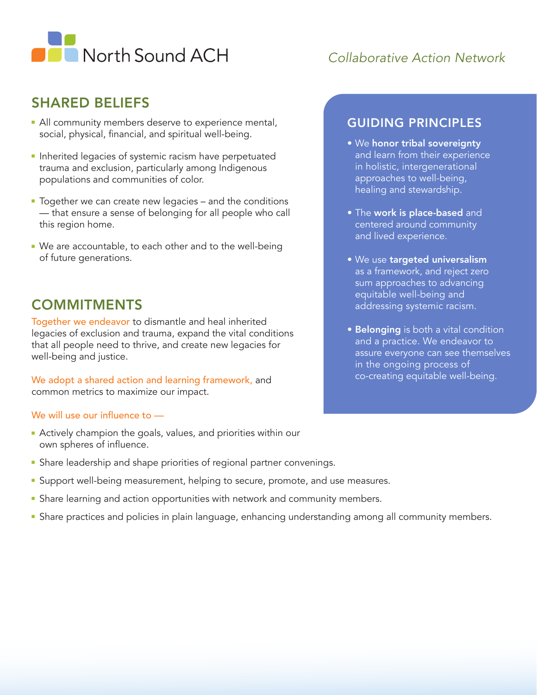

### *Collaborative Action Network*

#### SHARED BELIEFS

- **All community members deserve to experience mental,** social, physical, financial, and spiritual well-being.
- **n** Inherited legacies of systemic racism have perpetuated trauma and exclusion, particularly among Indigenous populations and communities of color.
- **Together we can create new legacies and the conditions** — that ensure a sense of belonging for all people who call this region home.
- We are accountable, to each other and to the well-being of future generations.

#### **COMMITMENTS**

Together we endeavor to dismantle and heal inherited legacies of exclusion and trauma, expand the vital conditions that all people need to thrive, and create new legacies for well-being and justice.

We adopt a shared action and learning framework, and common metrics to maximize our impact.

#### We will use our influence to —

- **Actively champion the goals, values, and priorities within our** own spheres of influence.
- **F** Share leadership and shape priorities of regional partner convenings.
- **E** Support well-being measurement, helping to secure, promote, and use measures.
- **F** Share learning and action opportunities with network and community members.
- **•** Share practices and policies in plain language, enhancing understanding among all community members.

#### GUIDING PRINCIPLES

- We honor tribal sovereignty and learn from their experience in holistic, intergenerational approaches to well-being, healing and stewardship.
- The work is place-based and centered around community and lived experience.
- We use targeted universalism as a framework, and reject zero sum approaches to advancing equitable well-being and addressing systemic racism.
- **Belonging** is both a vital condition and a practice. We endeavor to assure everyone can see themselves in the ongoing process of co-creating equitable well-being.